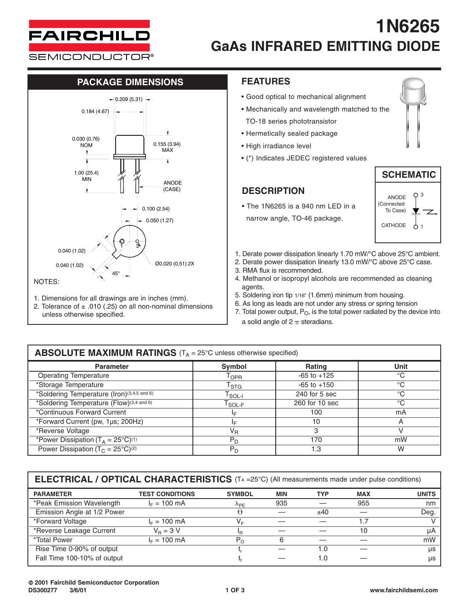

# **1N6265 GaAs INFRARED EMITTING DIODE**

**SEMICONDUCTOR®** 

### **PACKAGE DIMENSIONS FEATURES**



- 1. Dimensions for all drawings are in inches (mm).
- 2. Tolerance of  $\pm$  .010 (.25) on all non-nominal dimensions unless otherwise specified.

- Good optical to mechanical alignment
- Mechanically and wavelength matched to the TO-18 series phototransistor
- Hermetically sealed package
- High irradiance level
- (\*) Indicates JEDEC registered values

### **DESCRIPTION**

• The 1N6265 is a 940 nm LED in a narrow angle, TO-46 package.





- 1. Derate power dissipation linearly 1.70 mW/°C above 25°C ambient.
- 2. Derate power dissipation linearly 13.0 mW/°C above 25°C case.
- 3. RMA flux is recommended.
- 4. Methanol or isopropyl alcohols are recommended as cleaning agents.
- 5. Soldering iron tip 1/16" (1.6mm) minimum from housing.
- 6. As long as leads are not under any stress or spring tension
- 7. Total power output,  $P_O$ , is the total power radiated by the device into a solid angle of  $2 \pi$  steradians.

#### **Parameter Symbol Rating Unit** Operating Temperature T<sub>OPR</sub> -65 to +125 °C<br>
Storage Temperature T<sub>OPR</sub> -65 to +125 °C \*Storage Temperature  $T_{\text{STG}}$   $-65$  to +150 \*Soldering Temperature (Iron)<sup>(3,4,5 and 6)</sup> T<sub>SOL-I</sub> 240 for 5 sec  $\degree$ C<br>\*Soldering Temperature (Flow)<sup>(3,4 and 6)</sup> T<sub>SOL-F</sub> 260 for 10 sec  $\degree$ C \*Soldering Temperature (Flow)<sup>(3,4 and 6)</sup> T<sub>SOL-F</sub> 260 for 10<br>\*Continuous Forward Current 100 \*Continuous Forward Current 1. 100 mA<br>\*Forward Current (pw. 1us: 200Hz) 10 mA \*Forward Current (pw, 1µs; 200Hz) **i**<sub>F</sub> 10 10 A<br>\*Reverse Voltage victors and the set of the set of the set of the set of the set of the set of the set of the set of the set of the set of the set of the set of the set of t \*Reverse Voltage  $V_R$ \*Power Dissipation (T<sub>A</sub> = 25°C)<sup>(1)</sup> P<sub>D</sub> 170 mW Power Dissipation (T<sub>C</sub> = 25°C)<sup>(2)</sup> PD PD 1.3 W **ABSOLUTE MAXIMUM RATINGS** (T<sub>A</sub> = 25°C unless otherwise specified)

**ELECTRICAL / OPTICAL CHARACTERISTICS** (TA =25°C) (All measurements made under pulse conditions)

| <b>PARAMETER</b>            | <b>TEST CONDITIONS</b> | <b>SYMBOL</b>         | <b>MIN</b> | <b>TYP</b> | <b>MAX</b> | <b>UNITS</b> |
|-----------------------------|------------------------|-----------------------|------------|------------|------------|--------------|
| *Peak Emission Wavelength   | $I_F = 100$ mA         | $\Lambda_{\text{PF}}$ | 935        |            | 955        | nm           |
| Emission Angle at 1/2 Power |                        | Θ                     |            | ±40        |            | Deg.         |
| *Forward Voltage            | $I_F = 100$ mA         | V=                    |            |            |            |              |
| *Reverse Leakage Current    | $V_{\rm B} = 3$ V      | ΙR                    |            |            | 10         | uA           |
| <i>*Total Power</i>         | $I_F = 100$ mA         | $P_{\Omega}$          | 6          |            |            | mW           |
| Rise Time 0-90% of output   |                        |                       |            | 1.0        |            | <b>US</b>    |
| Fall Time 100-10% of output |                        |                       |            | 1.0        |            | us           |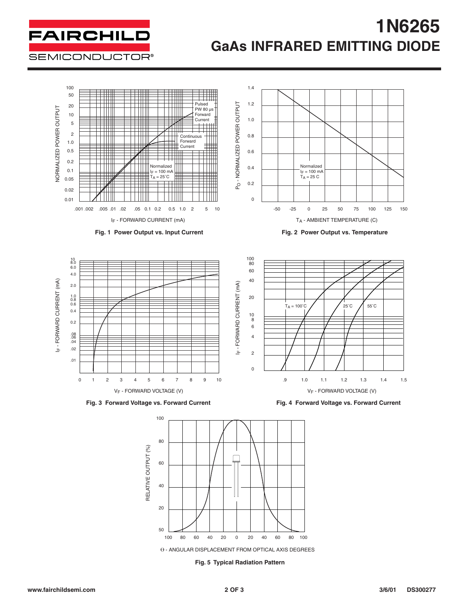## **FAIRCHILD SEMICONDUCTOR®**

# **1N6265 GaAs INFRARED EMITTING DIODE**